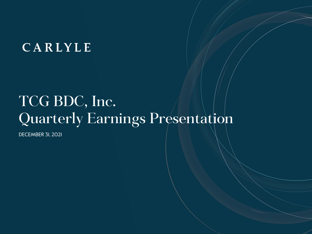## CARLYLE

# TCG BDC, Inc. Quarterly Earnings Presentation

DECEMBER 31, 2021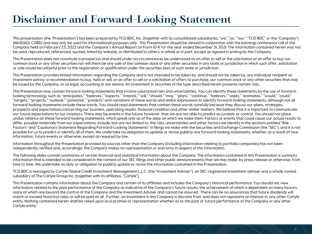### **Disclaimer and Forward-Looking Statement**

This presentation (the "Presentation") has been prepared by TCG BDC, Inc. (together with its consolidated subsidiaries, "we," "us," "our," "TCG BDC" or the "Company") (NASDAQ: CGBD) and may only be used for informational purposes only. This Presentation should be viewed in conjunction with the earnings conference call of the Company held on February 23, 2022 and the Company's Annual Report on Form 10-K for the year ended December 31, 2021. The information contained herein may not be used, reproduced, referenced, quoted, linked by website, or distributed to others, in whole or in part, except as agreed in writing by the Company.

This Presentation does not constitute a prospectus and should under no circumstances be understood as an offer to sell or the solicitation of an offer to buy our common stock or any other securities nor will there be any sale of the common stock or any other securities in any state or jurisdiction in which such offer, solicitation or sale would be unlawful prior to the registration or qualification under the securities laws of such state or jurisdiction.

This Presentation provides limited information regarding the Company and is not intended to be taken by, and should not be taken by, any individual recipient as investment advice, a recommendation to buy, hold or sell, or an offer to sell or a solicitation of offers to purchase, our common stock or any other securities that may be issued by the Company, or as legal, accounting or tax advice. An investment in securities of the type described herein presents certain risks.

This Presentation may contain forward-looking statements that involve substantial risks and uncertainties. You can identify these statements by the use of forwardlooking terminology such as "anticipates," "believes," "expects," "intends," "will," "should," "may," "plans," "continue," "believes," "seeks," "estimates," "would," "could," "targets," "projects," "outlook," "potential," "predicts" and variations of these words and similar expressions to identify forward-looking statements, although not all forward-looking statements include these words. You should read statements that contain these words carefully because they discuss our plans, strategies, prospects and expectations concerning our business, operating results, financial condition and other similar matters. We believe that it is important to communicate our future expectations to our investors. There may be events in the future, however, that we are not able to predict accurately or control. You should not place undue reliance on these forward-looking statements, which speak only as of the date on which we make them. Factors or events that could cause our actual results to differ, possibly materially from our expectations, include, but are not limited to, the risks, uncertainties and other factors we identify in the sections entitled "Risk Factors" and "Cautionary Statement Regarding Forward-Looking Statements" in filings we make with the Securities and Exchange Commission (the "SEC"), and it is not possible for us to predict or identify all of them. We undertake no obligation to update or revise publicly any forward-looking statements, whether as a result of new information, future events or otherwise, except as required by law.

Information throughout the Presentation provided by sources other than the Company (including information relating to portfolio companies) has not been independently verified and, accordingly, the Company makes no representation or warranty in respect of this information.

The following slides contain summaries of certain financial and statistical information about the Company. The information contained in this Presentation is summary information that is intended to be considered in the context of our SEC filings and other public announcements that we may make, by press release or otherwise, from time to time. We undertake no duty or obligation to publicly update or revise the information contained in this Presentation.

TCG BDC is managed by Carlyle Global Credit Investment Management L.L.C. (the "Investment Adviser"), an SEC-registered investment adviser and a wholly owned subsidiary of The Carlyle Group Inc. (together with its affiliates, "Carlyle").

This Presentation contains information about the Company and certain of its affiliates and includes the Company's historical performance. You should not view information related to the past performance of the Company as indicative of the Company's future results, the achievement of which is dependent on many factors, many of which are beyond the control of the Company and the Investment Adviser and cannot be assured. There can be no assurances that future dividends will match or exceed historical rates or will be paid at all. Further, an investment in the Company is discrete from, and does not represent an interest in, any other Carlyle entity. Nothing contained herein shall be relied upon as a promise or representation whether as to the past or future performance of the Company or any other Carlyle entity.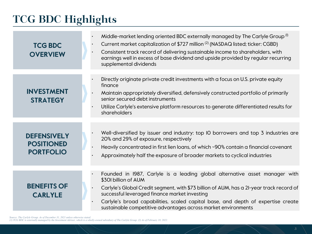### **TCG BDC Highlights**

| <b>TCG BDC</b><br><b>OVERVIEW</b>    | $\bullet$<br>$\bullet$<br>$\bullet$ | Middle-market lending oriented BDC externally managed by The Carlyle Group <sup>(1)</sup><br>Current market capitalization of \$727 million <sup>(2)</sup> (NASDAQ listed; ticker: CGBD)<br>Consistent track record of delivering sustainable income to shareholders, with<br>earnings well in excess of base dividend and upside provided by regular recurring<br>supplemental dividends |
|--------------------------------------|-------------------------------------|-------------------------------------------------------------------------------------------------------------------------------------------------------------------------------------------------------------------------------------------------------------------------------------------------------------------------------------------------------------------------------------------|
|                                      |                                     | Directly originate private credit investments with a focus on U.S. private equity                                                                                                                                                                                                                                                                                                         |
|                                      |                                     | finance                                                                                                                                                                                                                                                                                                                                                                                   |
| <b>INVESTMENT</b><br><b>STRATEGY</b> |                                     | Maintain appropriately diversified, defensively constructed portfolio of primarily<br>senior secured debt instruments                                                                                                                                                                                                                                                                     |
|                                      |                                     | Utilize Carlyle's extensive platform resources to generate differentiated results for<br>shareholders                                                                                                                                                                                                                                                                                     |
|                                      |                                     |                                                                                                                                                                                                                                                                                                                                                                                           |
| <b>DEFENSIVELY</b>                   |                                     | Well-diversified by issuer and industry: top IO borrowers and top 3 industries are<br>20% and 29% of exposure, respectively                                                                                                                                                                                                                                                               |
| <b>POSITIONED</b>                    | $\bullet$                           | Heavily concentrated in first lien loans, of which ~90% contain a financial covenant                                                                                                                                                                                                                                                                                                      |
| <b>PORTFOLIO</b>                     |                                     | Approximately half the exposure of broader markets to cyclical industries                                                                                                                                                                                                                                                                                                                 |
|                                      |                                     |                                                                                                                                                                                                                                                                                                                                                                                           |
|                                      |                                     | Founded in 1987, Carlyle is a leading global alternative asset manager with<br>\$301 billion of AUM                                                                                                                                                                                                                                                                                       |
| <b>BENEFITS OF</b><br><b>CARLYLE</b> |                                     | Carlyle's Global Credit segment, with \$73 billion of AUM, has a 2I-year track record of<br>successful leveraged finance market investing                                                                                                                                                                                                                                                 |
|                                      |                                     | Carlyle's broad capabilities, scaled capital base, and depth of expertise create<br>sustainable competitive advantages across market environments                                                                                                                                                                                                                                         |

*Source: The Carlyle Group. As of December 31, 2021 unless otherwise stated.* 

*(1) TCG BDC is externally managed by the Investment Adviser, which is a wholly-owned subsidiary of The Carlyle Group. (2) As of February 18, 2022.*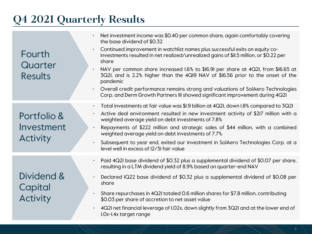### **Q4 2021 Quarterly Results**

| Fourth<br>Quarter<br><b>Results</b>          | Net investment income was \$0.40 per common share, again comfortably covering<br>the base dividend of \$0.32<br>Continued improvement in watchlist names plus successful exits on equity co-<br>$\bullet$<br>investments resulted in net realized/unrealized gains of \$II.5 million, or \$0.22 per<br>share<br>NAV per common share increased I.6% to \$16.91 per share at 4Q2I, from \$16.65 at<br>3Q2I, and is 2.2% higher than the 4QI9 NAV of \$16.56 prior to the onset of the<br>pandemic<br>• Overall credit performance remains strong and valuations of SolAero Technologies<br>Corp. and Derm Growth Partners III showed significant improvement during 4Q2I |
|----------------------------------------------|-------------------------------------------------------------------------------------------------------------------------------------------------------------------------------------------------------------------------------------------------------------------------------------------------------------------------------------------------------------------------------------------------------------------------------------------------------------------------------------------------------------------------------------------------------------------------------------------------------------------------------------------------------------------------|
| Portfolio &<br>Investment<br><b>Activity</b> | Total investments at fair value was \$1.9 billion at 4Q21, down 1.8% compared to 3Q21<br>$\bullet$ .<br>Active deal environment resulted in new investment activity of \$217 million with a<br>weighted average yield on debt investments of 7.8%<br>Repayments of \$222 million and strategic sales of \$44 million, with a combined<br>weighted average yield on debt investments of 7.7%<br>Subsequent to year end, exited our investment in SolAero Technologies Corp. at a<br>level well in excess of 12/31 fair value                                                                                                                                             |
| Dividend &<br>Capital<br><b>Activity</b>     | Paid 4Q2I base dividend of \$0.32 plus a supplemental dividend of \$0.07 per share,<br>resulting in a LTM dividend yield of 8.9% based on quarter-end NAV<br>Declared IQ22 base dividend of \$0.32 plus a supplemental dividend of \$0.08 per<br>share<br>Share repurchases in 4Q2I totaled 0.6 million shares for \$7.8 million, contributing<br>\$0.03 per share of accretion to net asset value<br>4Q2I net financial leverage of I.02x, down slightly from 3Q2I and at the lower end of<br>I.Ox-I.4x target range                                                                                                                                                   |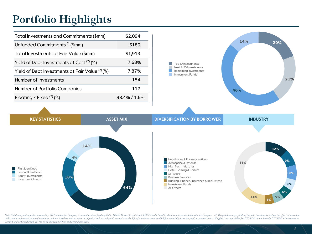### **Portfolio Highlights**

| Total Investments and Commitments (\$mm)         | \$2,094      |
|--------------------------------------------------|--------------|
| Unfunded Commitments <sup>(I)</sup> (\$mm)       | \$180        |
| Total Investments at Fair Value (\$mm)           | \$1,913      |
| Yield of Debt Investments at Cost $(2)$ (%)      | 7.68%        |
| Yield of Debt Investments at Fair Value $(2)(%)$ | 7.87%        |
| Number of Investments                            | 154          |
| Number of Portfolio Companies                    | 117          |
| Floating / Fixed $(3)$ (%)                       | 98.4% / 1.6% |



First Lien Debt Second Lien Debt m. Equity Investments **Investment Funds** 



Note: Totals may not sum due to rounding. (1) Excludes the Company's commitments to fund capital to Middle Market Credit Fund, LLC ("Credit Fund"), which is not consolidated with the Company. (2) Weighted average yields of of discounts and amortization of premiums and are based on interest rates as of period end. Actual yields earned over the life of each investment could differ materially from the yields presented above. Weighted average yi *Credit Fund or Credit Fund II. (3) % of fair value of first and second lien debt.*

 $8%$ 

 $6%$ 

 $6%$ 

 $5%$ 

14%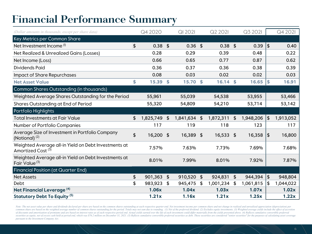### **Financial Performance Summary**

| (Dollar amounts in thousands, except per share data)                                  | Q4 2020          |                    | <b>QI 2021</b> |                | Q2 2021   | Q3 2021             |     | Q4 2021   |
|---------------------------------------------------------------------------------------|------------------|--------------------|----------------|----------------|-----------|---------------------|-----|-----------|
| Key Metrics per Common Share                                                          |                  |                    |                |                |           |                     |     |           |
| Net Investment Income <sup>(I)</sup>                                                  | \$<br>$0.38$ \$  |                    | $0.36$ \$      |                | $0.38$ \$ | 0.39                | ا\$ | 0.40      |
| Net Realized & Unrealized Gains (Losses)                                              | 0.28             |                    | 0.29           |                | 0.39      | 0.48                |     | 0.22      |
| Net Income (Loss)                                                                     | 0.66             |                    | 0.65           |                | 0.77      | 0.87                |     | 0.62      |
| <b>Dividends Paid</b>                                                                 | 0.36             |                    | 0.37           |                | 0.36      | 0.38                |     | 0.39      |
| Impact of Share Repurchases                                                           | 0.08             |                    | 0.03           |                | 0.02      | 0.02                |     | 0.03      |
| <b>Net Asset Value</b>                                                                | \$<br>15.39      | $\mathbf{\hat{S}}$ | 15.70          | S.             | 16.14     | \$<br>16.65         | \$  | 16.91     |
| Common Shares Outstanding (in thousands)                                              |                  |                    |                |                |           |                     |     |           |
| Weighted Average Shares Outstanding for the Period                                    | 55,961           |                    | 55,039         |                | 54,538    | 53,955              |     | 53,466    |
| Shares Outstanding at End of Period                                                   | 55,320           |                    | 54,809         |                | 54,210    | 53,714              |     | 53,142    |
| Portfolio Highlights                                                                  |                  |                    |                |                |           |                     |     |           |
| <b>Total Investments at Fair Value</b>                                                | \$<br>1,825,749  | $\frac{1}{2}$      | 1,841,634      | $\mathfrak{s}$ | 1,872,311 | \$<br>1,948,206     | \$  | 1,913,052 |
|                                                                                       |                  |                    |                |                |           |                     |     | 117       |
| Number of Portfolio Companies                                                         | 117              |                    | 119            |                | 118       | 123                 |     |           |
| Average Size of Investment in Portfolio Company<br>(Notional) $(2)$                   | \$<br>16,200 \$  |                    | 16,389 \$      |                | 16,533 \$ | 16,358              | \$  | 16,800    |
| Weighted Average all-in Yield on Debt Investments at<br>Amortized Cost <sup>(3)</sup> | 7.57%            |                    | 7.63%          |                | 7.73%     | 7.69%               |     | 7.68%     |
| Weighted Average all-in Yield on Debt Investments at<br>Fair Value <sup>(3)</sup>     | 8.01%            |                    | 7.99%          |                | 8.01%     | 7.92%               |     | 7.87%     |
| <b>Financial Position (at Quarter End)</b>                                            |                  |                    |                |                |           |                     |     |           |
| <b>Net Assets</b>                                                                     | \$<br>901,363 \$ |                    | 910,520        | $\mathfrak{S}$ | 924,831   | \$<br>$944,394$ \\$ |     | 948,804   |
| Debt                                                                                  | \$<br>983,923    | \$                 | 945,475        | \$             | 1,001,234 | \$<br>1,061,815     | \$  | 1,044,022 |
| Net Financial Leverage <sup>(4)</sup>                                                 | 1.06x            |                    | 1.04x          |                | 1.03x     | 1.07x               |     | 1.02x     |

Note: The net asset value per share and dividends declared per share are based on the common shares outstanding at each respective quarter-end. Net investment income per common share and net change in realized and unrealiz common share are based on the weighted average number of common shares outstanding for the period. Totals may not sum due to rounding. (1) Net of the preferred dividend. (2) Excludes equity investments. (3) Weighted averag of discounts and amortization of premiums and are based on interest rates as of each respective period end. Actual yields earned over the life of each investment could differ materially from the yields presented above. (4) securities as equity, net of excess cash held at period end, which was \$76.2 million on December 31, 2021. (5) Reflects cumulative convertible preferred securities as debt. These securities are considered "senior securitie *pursuant to the Investment Company Act.*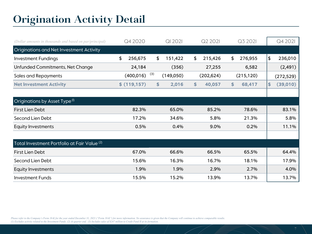### **Origination Activity Detail**

| (Dollar amounts in thousands and based on par/principal) | Q4 2020       | <b>QI 202I</b>   | Q2 2021       | Q3 2021       | Q4 2021        |
|----------------------------------------------------------|---------------|------------------|---------------|---------------|----------------|
| Originations and Net Investment Activity                 |               |                  |               |               |                |
| <b>Investment Fundings</b>                               | \$<br>256,675 | \$<br>151,422    | \$<br>215,426 | \$<br>276,955 | \$<br>236,010  |
| Unfunded Commitments, Net Change                         | 24,184        | (356)            | 27,255        | 6,582         | (2, 491)       |
| Sales and Repayments                                     | (400, 016)    | (3)<br>(149,050) | (202, 624)    | (215, 120)    | (272, 529)     |
| <b>Net Investment Activity</b>                           | \$(119,157)   | \$<br>2,016      | \$<br>40,057  | 68,417<br>\$  | (39,010)<br>\$ |
|                                                          |               |                  |               |               |                |
| Originations by Asset Type <sup>(I)</sup>                |               |                  |               |               |                |
| First Lien Debt                                          | 82.3%         | 65.0%            | 85.2%         | 78.6%         | 83.1%          |
| Second Lien Debt                                         | 17.2%         | 34.6%            | 5.8%          | 21.3%         | 5.8%           |
| <b>Equity Investments</b>                                | 0.5%          | 0.4%             | 9.0%          | 0.2%          | 11.1%          |
|                                                          |               |                  |               |               |                |
| Total Investment Portfolio at Fair Value <sup>(2)</sup>  |               |                  |               |               |                |
| First Lien Debt                                          | 67.0%         | 66.6%            | 66.5%         | 65.5%         | 64.4%          |
| Second Lien Debt                                         | 15.6%         | 16.3%            | 16.7%         | 18.1%         | 17.9%          |
| <b>Equity Investments</b>                                | 1.9%          | 1.9%             | 2.9%          | 2.7%          | 4.0%           |
| <b>Investment Funds</b>                                  | 15.5%         | 15.2%            | 13.9%         | 13.7%         | 13.7%          |

*Please refer to the Company's Form 10-K for the year ended December 31, 2021 ("Form 10-K") for more information. No assurance is given that the Company will continue to achieve comparable results. (1) Excludes activity related to the Investment Funds. (2) At quarter end. (3) Includes sales of \$247 million to Credit Fund II at its formation.*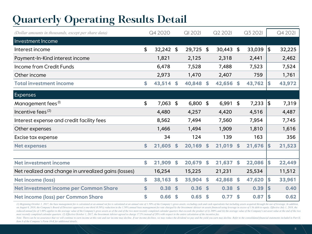### **Quarterly Operating Results Detail**

| (Dollar amounts in thousands, except per share data) | Q4 2020           |                    | QI 2021    |                    | Q2 2021   |                            | Q3 2021 |     | Q4 2021 |
|------------------------------------------------------|-------------------|--------------------|------------|--------------------|-----------|----------------------------|---------|-----|---------|
| Investment Income                                    |                   |                    |            |                    |           |                            |         |     |         |
| Interest income                                      | \$<br>$32,242$ \$ |                    | 29,725 \$  |                    | 30,443    | $\boldsymbol{\mathsf{\$}}$ | 33,039  | \$  | 32,225  |
| Payment-In-Kind interest income                      | 1,821             |                    | 2,125      |                    | 2,318     |                            | 2,441   |     | 2,462   |
| Income from Credit Funds                             | 6,478             |                    | 7,528      |                    | 7,488     |                            | 7,523   |     | 7,524   |
| Other income                                         | 2,973             |                    | 1,470      |                    | 2,407     |                            | 759     |     | 1,761   |
| <b>Total investment income</b>                       | \$<br>43,514 \$   |                    | 40,848     | S.                 | 42,656 \$ |                            | 43,762  | S   | 43,972  |
| <b>Expenses</b>                                      |                   |                    |            |                    |           |                            |         |     |         |
| Management fees <sup>(I)</sup>                       | \$<br>7,063 \$    |                    | $6,800$ \$ |                    | 6,991     | $\frac{1}{2}$              | 7,233   | Ι\$ | 7,319   |
| Incentive fees <sup>(2)</sup>                        | 4,480             |                    | 4,257      |                    | 4,420     |                            | 4,516   |     | 4,487   |
| Interest expense and credit facility fees            | 8,562             |                    | 7,494      |                    | 7,560     |                            | 7,954   |     | 7,745   |
| Other expenses                                       | 1,466             |                    | 1,494      |                    | 1,909     |                            | 1,810   |     | 1,616   |
| Excise tax expense                                   | 34                |                    | 124        |                    | 139       |                            | 163     |     | 356     |
| <b>Net expenses</b>                                  | \$<br>21,605      | $\mathbf{\hat{S}}$ | 20,169     | $\mathbf{\hat{S}}$ | 21,019    | $\mathbf{s}$               | 21,676  | S   | 21,523  |
|                                                      |                   |                    |            |                    |           |                            |         |     |         |
| <b>Net investment income</b>                         | \$<br>21,909      | $\mathbf{\hat{S}}$ | 20,679     | \$                 | 21,637    | $\mathbf{s}$               | 22,086  | \$  | 22,449  |
| Net realized and change in unrealized gains (losses) | 16,254            |                    | 15,225     |                    | 21,231    |                            | 25,534  |     | 11,512  |
| Net income (loss)                                    | \$<br>38,163      | \$                 | 35,904     | $\mathbf{\hat{S}}$ | 42,868    | $\mathbf{s}$               | 47,620  | \$  | 33,961  |
| Net investment income per Common Share               | \$<br>0.38        | $\mathbf{s}$       | 0.36       | $\mathbf{s}$       | 0.38      | $\mathbf{s}$               | 0.39    | \$  | 0.40    |
| <b>Net income (loss) per Common Share</b>            | \$<br>0.66        | \$                 | 0.65       | \$                 | 0.77      | \$                         | 0.87    | \$  | 0.62    |

(1) Beginning October 1, 2017, the base management fee is calculated at an annual rat fee is calculated at an annual rate is calculated at an annual rate of 1.50% of the Company's gross assets, excluding cash and cash equi on August 6, 2018, the Company's Board of Directors approved a one-third (0.50%) reduction in the 1.50% annual base management fee rate charged by the Investment Adviser on assets financed using leverage in excess of 1.0x reduced annual fee of 1.00% applies to the average value of the Company's gross assets as of the end of the two most recently completed calendar quarters that exceeds the product of (i) 200% and (ii) the average value of t *most recently completed calendar quarters. (2) Effective October 1, 2017, the Investment Adviser agreed to charge 17.5% instead of 20% with respect to the entire calculation of the incentive fee.*  Note: There can be no assurance that we will continue to earn income at this rate and our income may decline. If our income declines, we may reduce the dividend we pay and the yield you earn may decline. Refer to the conso *Item 8 of the Company's Form 10-K for additional details.*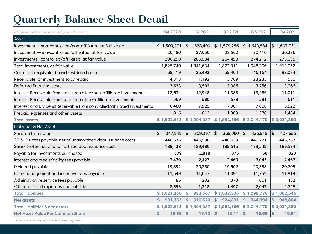## **Quarterly Balance Sheet Detail**

| (Dollar amounts in thousands, except per share data)                    | Q4 2020          | QI 2021                  | Q2 2021                | Q3 2021               | Q4 2021       |
|-------------------------------------------------------------------------|------------------|--------------------------|------------------------|-----------------------|---------------|
| <b>Assets</b>                                                           |                  |                          |                        |                       |               |
| Investments-non-controlled/non-affiliated, at fair value                | \$1,509,271      | \$1,528,400              | \$1,579,256            | \$1,643,584           | \$1,607,731   |
| Investments-non-controlled/affiliated, at fair value                    | 26,180           | 27,650                   | 28,562                 | 30,410                | 30,286        |
| Investments-controlled/affiliated, at fair value                        | 290,298          | 285,584                  | 264,493                | 274,212               | 275,035       |
| Total investments, at fair value                                        | 1,825,749        | 1,841,634                | 1,872,311              | 1,948,206             | 1,913,052     |
| Cash, cash equivalents and restricted cash                              | 68,419           | 35,493                   | 59,404                 | 46,164                | 93,074        |
| Receivable for investment sold/repaid                                   | 4,313            | 1,192                    | 5,769                  | 23,235                | 530           |
| Deferred financing costs                                                | 3,633            | 3,502                    | 3,386                  | 3,256                 | 3,066         |
| Interest Receivable from non-controlled/non-affiliated Investments      | 12,634           | 12,948                   | 11,388                 | 13,486                | 11,011        |
| Interest Receivable from non-controlled/affiliated Investments          | 569              | 580                      | 578                    | 581                   | 611           |
| Interest and Dividend Receivable from controlled/affiliated Investments | 6,480            | 7,925                    | 7,961                  | 7,866                 | 8,522         |
| Prepaid expenses and other assets                                       | 816              | 813                      | 1,369                  | 1,376                 | 1,484         |
| <b>Total assets</b>                                                     | \$1,922,613      | \$1,904,087              | \$1,962,166            | \$2,044,170           | \$2,031,350   |
| <b>Liabilities &amp; Net Assets</b>                                     |                  |                          |                        |                       |               |
| Secured borrowings                                                      | \$<br>347,949 \$ | 309,397 \$               | 365,060 \$             | 425,545               | \$<br>407,655 |
| 2015-IR Notes payable, net of unamortized debt issuance costs           | 446,536          | 446,598                  | 446,659                | 446,721               | 446,783       |
| Senior Notes, net of unamortized debt issuance costs                    | 189,438          | 189,480                  | 189,515                | 189,549               | 189,584       |
| Payable for investments purchased                                       | 809              | 12,818                   | 875                    | 68                    | 323           |
| Interest and credit facility fees payable                               | 2,439            | 2,427                    | 2,463                  | 3,045                 | 2,467         |
| Dividend payable                                                        | 19,892           | 20,280                   | 19,502                 | 20,388                | 20,705        |
| Base management and incentive fees payable                              | 11,549           | 11,047                   | 11,391                 | 11,752                | 11,819        |
| Administrative service fees payable                                     | 85               | 202                      | 373                    | 661                   | 482           |
| Other accrued expenses and liabilities                                  | 2,553            | 1,318                    | 1,497                  | 2,047                 | 2,728         |
| <b>Total liabilities</b>                                                | \$1,021,250      | 993,567<br>- \$          | \$1,037,335            | \$1,099,776           | \$1,082,546   |
| <b>Net assets</b>                                                       | \$<br>901,363    | 910,520<br><sup>\$</sup> | \$<br>924,831          | 944,394<br>\$         | 948,804<br>\$ |
| <b>Total liabilities &amp; net assets</b>                               | \$1,922,613      | \$1,904,087              | \$1,962,166            | \$2,044,170           | \$2,031,350   |
| <b>Net Asset Value Per Common Share</b>                                 | \$<br>15.39      | <sup>\$</sup><br>15.70   | $\mathsf{\$}$<br>16.14 | $\mathsf{s}$<br>16.65 | \$<br>16.91   |

*Please refer to the Company's Form 10-K for more information.*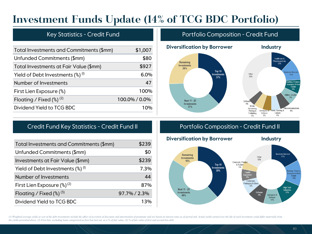### **Investment Funds Update (14% of TCG BDC Portfolio)**

#### Key Statistics - Credit Fund

| Total Investments and Commitments (\$mm)                   | \$1,007       |
|------------------------------------------------------------|---------------|
| Unfunded Commitments (\$mm)                                | \$80          |
| Total Investments at Fair Value (\$mm)                     | \$927         |
| Yield of Debt Investments $\left(\frac{8}{9}\right)^{(1)}$ | 6.0%          |
| Number of Investments                                      | 47            |
| First Lien Exposure (%)                                    | 100%          |
| Floating / Fixed $(\%)^{(2)}$                              | 100.0% / 0.0% |
| Dividend Yield to TCG BDC                                  | 1 በ‰          |
|                                                            |               |

#### Portfolio Composition - Credit Fund



### Credit Fund Key Statistics - Credit Fund II Portfolio Composition - Credit Fund II

| Total Investments and Commitments (\$mm)                   | \$239        |
|------------------------------------------------------------|--------------|
| Unfunded Commitments (\$mm)                                | \$0          |
| Investments at Fair Value (\$mm)                           | \$239        |
| Yield of Debt Investments $\left(\frac{a}{b}\right)^{(1)}$ | 7.3%         |
| Number of Investments                                      | 44           |
| First Lien Exposure $(\%)^{(2)}$                           | 87%          |
| Floating / Fixed $(\%)^{(3)}$                              | 97.7% / 2.3% |
| Dividend Yield to TCG BDC                                  | 13%          |



(1) Weighted average yields at cost of the debt investments include the effect of accretion of discounts and amortization of premiums and are based on interest rates as of period end. Actual yields earned over the life of *the yields presented above. (2) First lien, excluding loans categorized as first lien last out, as a % of fair value. (3) % of fair value of first and second lien debt.*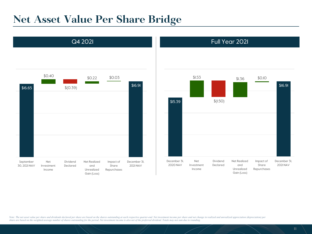### **Net Asset Value Per Share Bridge**



Note: The net asset value per share and dividends declared per share are based on the shares outstanding at each respective quarter-end. Net investment income per share and net change in realized and unrealized appreciatio *share are based on the weighted average number of shares outstanding for the period. Net investment income is also net of the preferred dividend. Totals may not sum due to rounding.*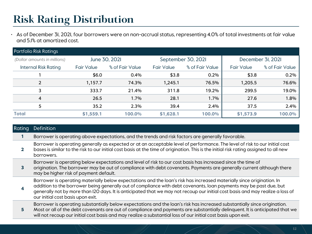### **Risk Rating Distribution**

• As of December 31, 2021, four borrowers were on non-accrual status, representing 4.0% of total investments at fair value and 5.1% at amortized cost.

| <b>Portfolio Risk Ratings</b> |                                     |                 |                   |                 |                   |                 |  |  |  |
|-------------------------------|-------------------------------------|-----------------|-------------------|-----------------|-------------------|-----------------|--|--|--|
| (Dollar amounts in millions)  | June 30, 2021<br>September 30, 2021 |                 |                   |                 | December 3I, 202I |                 |  |  |  |
| <b>Internal Risk Rating</b>   | <b>Fair Value</b>                   | % of Fair Value | <b>Fair Value</b> | % of Fair Value | <b>Fair Value</b> | % of Fair Value |  |  |  |
|                               | \$6.0                               | 0.4%            | \$3.8             | 0.2%            | \$3.8             | 0.2%            |  |  |  |
| $\overline{2}$                | 1,157.7                             | 74.3%           | 1,245.1           | 76.5%           | 1,205.5           | 76.6%           |  |  |  |
| 3                             | 333.7                               | 21.4%           | 311.8             | 19.2%           | 299.5             | 19.0%           |  |  |  |
| 4                             | 26.5                                | 1.7%            | 28.1              | 1.7%            | 27.6              | 1.8%            |  |  |  |
| 5                             | 35.2                                | 2.3%            | 39.4              | 2.4%            | 37.5              | 2.4%            |  |  |  |
| <b>Total</b>                  | \$1,559.1                           | 100.0%          | \$1,628.1         | 100.0%          | \$1,573.9         | 100.0%          |  |  |  |

| <b>Rating</b> | Definition                                                                                                                                                                                                                                                                                                                                                                                                          |
|---------------|---------------------------------------------------------------------------------------------------------------------------------------------------------------------------------------------------------------------------------------------------------------------------------------------------------------------------------------------------------------------------------------------------------------------|
|               | Borrower is operating above expectations, and the trends and risk factors are generally favorable.                                                                                                                                                                                                                                                                                                                  |
| $\mathbf{2}$  | Borrower is operating generally as expected or at an acceptable level of performance. The level of risk to our initial cost<br>bases is similar to the risk to our initial cost basis at the time of origination. This is the initial risk rating assigned to all new<br>borrowers.                                                                                                                                 |
| 3             | Borrower is operating below expectations and level of risk to our cost basis has increased since the time of<br>origination. The borrower may be out of compliance with debt covenants. Payments are generally current although there<br>may be higher risk of payment default.                                                                                                                                     |
| 4             | Borrower is operating materially below expectations and the loan's risk has increased materially since origination. In<br>addition to the borrower being generally out of compliance with debt covenants, loan payments may be past due, but<br>generally not by more than I2O days. It is anticipated that we may not recoup our initial cost basis and may realize a loss of<br>our initial cost basis upon exit. |
| 5             | Borrower is operating substantially below expectations and the loan's risk has increased substantially since origination.<br>Most or all of the debt covenants are out of compliance and payments are substantially delinquent. It is anticipated that we<br>will not recoup our initial cost basis and may realize a substantial loss of our initial cost basis upon exit.                                         |
|               |                                                                                                                                                                                                                                                                                                                                                                                                                     |